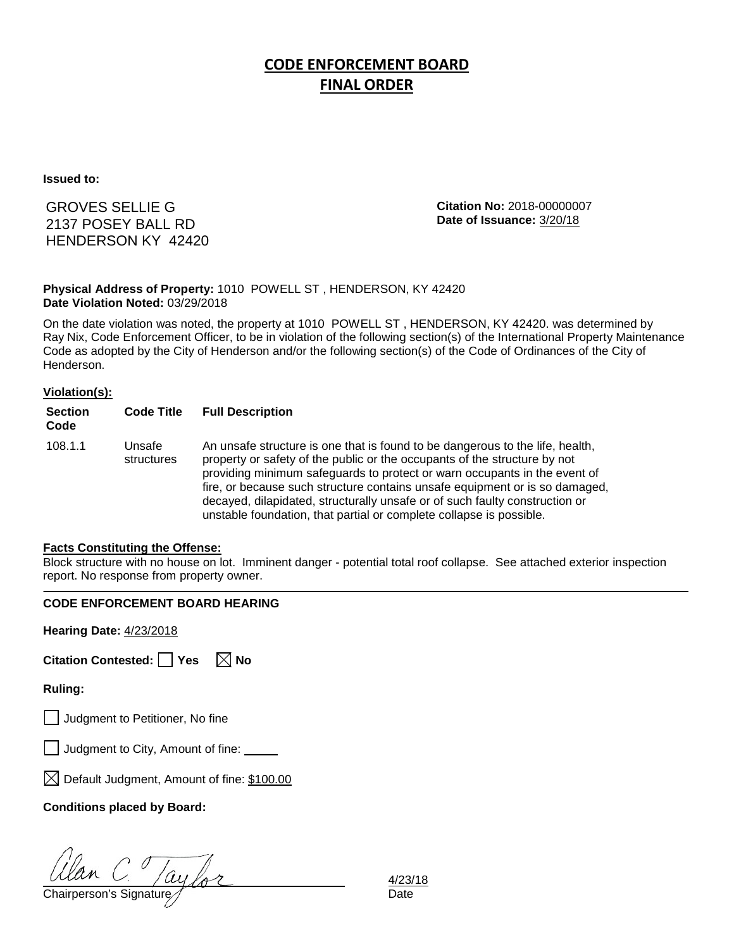# **CODE ENFORCEMENT BOARD FINAL ORDER**

**Issued to:**

GROVES SELLIE G 2137 POSEY BALL RD HENDERSON KY 42420 **Citation No:** 2018-00000007 **Date of Issuance:** 3/20/18

### **Physical Address of Property:** 1010 POWELL ST , HENDERSON, KY 42420 **Date Violation Noted:** 03/29/2018

On the date violation was noted, the property at 1010 POWELL ST , HENDERSON, KY 42420. was determined by Ray Nix, Code Enforcement Officer, to be in violation of the following section(s) of the International Property Maintenance Code as adopted by the City of Henderson and/or the following section(s) of the Code of Ordinances of the City of Henderson.

### **Violation(s):**

| <b>Section</b><br>Code | <b>Code Title</b>    | <b>Full Description</b>                                                                                                                                                                                                                                                                                                                                                                                                                                                      |
|------------------------|----------------------|------------------------------------------------------------------------------------------------------------------------------------------------------------------------------------------------------------------------------------------------------------------------------------------------------------------------------------------------------------------------------------------------------------------------------------------------------------------------------|
| 108.1.1                | Unsafe<br>structures | An unsafe structure is one that is found to be dangerous to the life, health,<br>property or safety of the public or the occupants of the structure by not<br>providing minimum safeguards to protect or warn occupants in the event of<br>fire, or because such structure contains unsafe equipment or is so damaged,<br>decayed, dilapidated, structurally unsafe or of such faulty construction or<br>unstable foundation, that partial or complete collapse is possible. |

#### **Facts Constituting the Offense:**

Block structure with no house on lot. Imminent danger - potential total roof collapse. See attached exterior inspection report. No response from property owner.

### **CODE ENFORCEMENT BOARD HEARING**

**Hearing Date:** 4/23/2018

| Citation Contested: Yes |  |  | $\boxtimes$ No |
|-------------------------|--|--|----------------|
|-------------------------|--|--|----------------|

### **Ruling:**

Judgment to Petitioner, No fine

| $\Box$ Judgment to City, Amount of fine: |  |  |
|------------------------------------------|--|--|
|                                          |  |  |

 $\boxtimes$  Default Judgment, Amount of fine: \$100.00

### **Conditions placed by Board:**

Ulan C. Taylor 4/23/<br>Chairperson's Signature for

4/23/18